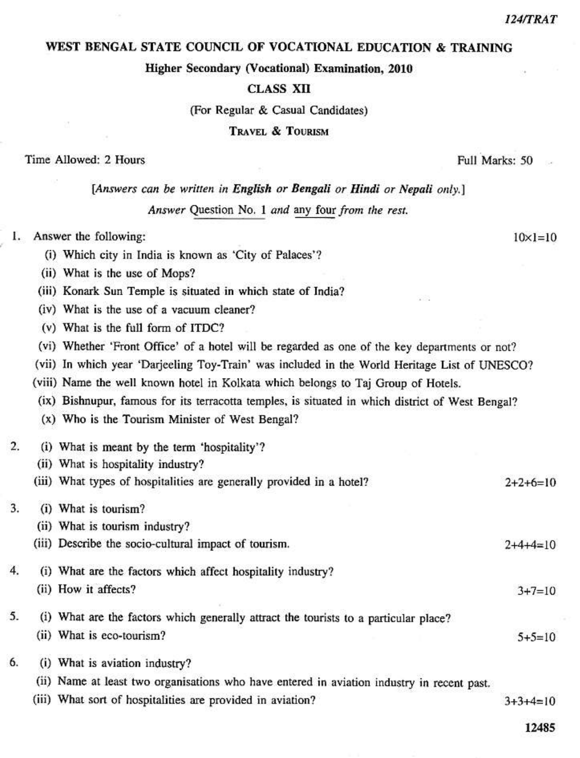### WEST BENGAL STATE COUNCIL OF VOCATIONAL EDUCATION & TRAINING

Higher Secondary (Vocational) Examination, 2010

### **CLASS XII**

(For Regular & Casual Candidates)

**TRAVEL & TOURISM** 

### Time Allowed: 2 Hours

# [Answers can be written in English or Bengali or Hindi or Nepali only.]

Answer Question No. 1 and any four from the rest.

- Answer the following: 1.
	- (i) Which city in India is known as 'City of Palaces'?
	- (ii) What is the use of Mops?
	- (iii) Konark Sun Temple is situated in which state of India?
	- (iv) What is the use of a vacuum cleaner?
	- (v) What is the full form of ITDC?
	- (vi) Whether 'Front Office' of a hotel will be regarded as one of the key departments or not?
	- (vii) In which year 'Darjeeling Toy-Train' was included in the World Heritage List of UNESCO?
	- (viii) Name the well known hotel in Kolkata which belongs to Taj Group of Hotels.
	- (ix) Bishnupur, famous for its terracotta temples, is situated in which district of West Bengal?
	- (x) Who is the Tourism Minister of West Bengal?
- $\overline{2}$ . (i) What is meant by the term 'hospitality'?
	- (ii) What is hospitality industry?
	- (iii) What types of hospitalities are generally provided in a hotel?  $2+2+6=10$

#### 3. (i) What is tourism?

- (ii) What is tourism industry?
- (iii) Describe the socio-cultural impact of tourism.
- $\overline{4}$ . (i) What are the factors which affect hospitality industry? (ii) How it affects?
- 5. (i) What are the factors which generally attract the tourists to a particular place? (ii) What is eco-tourism?
- 6. (i) What is aviation industry?
	- (ii) Name at least two organisations who have entered in aviation industry in recent past.
	- (iii) What sort of hospitalities are provided in aviation?  $3+3+4=10$ 
		- 12485

 $2+4+4=10$ 

 $3 + 7 = 10$ 

 $5+5=10$ 

Full Marks: 50

 $10 \times 1 = 10$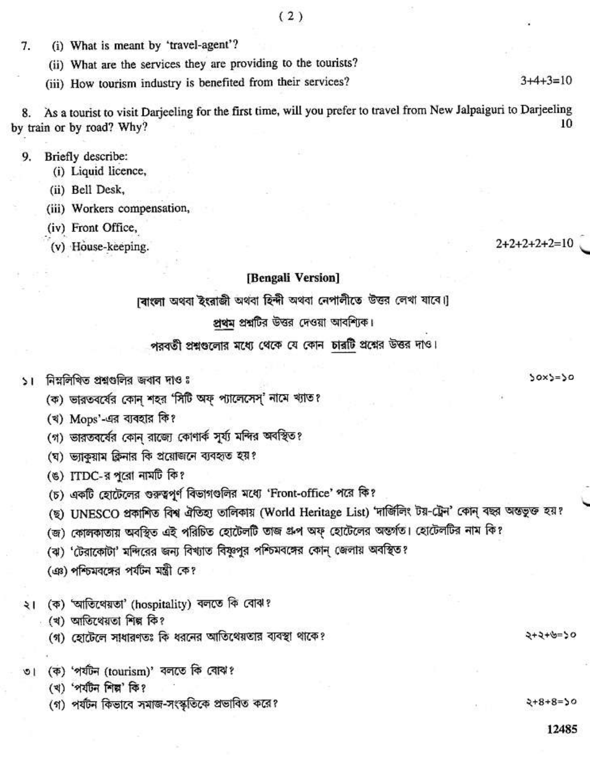7. (i) What is meant by 'travel-agent'?

(ii) What are the services they are providing to the tourists?

(iii) How tourism industry is benefited from their services?

As a tourist to visit Darjeeling for the first time, will you prefer to travel from New Jalpaiguri to Darjeeling 8. 10 by train or by road? Why?

 $9.$ Briefly describe:

(i) Liquid licence,

(ii) Bell Desk,

(iii) Workers compensation,

(iv) Front Office,

(v) House-keeping.

### [Bengali Version]

।বাংলা অথবা ইংরাজী অথবা হিন্দী অথবা নেপালীতে উত্তর লেখা যাবে।

# প্রথম প্রশ্নটির উত্তর দেওয়া আবশ্যিক।

# পরবর্তী প্রশ্নগুলোর মধ্যে থেকে যে কোন চারটি প্রশ্নের উত্তর দাও।

১। নিম্নলিখিত প্রশ্নগুলির জবাব দাওঃ

(ক) ভারতবর্ষের কোন শহর 'সিটি অফ্ প্যালেসেস্' নামে খ্যাত?

(খ) Mops'-এর ব্যবহার কি?

(গ) ভারতবর্ষের কোন রাজ্যে কোণার্ক সূর্য্য মন্দির অবস্থিত?

(ঘ) ভ্যাকুয়াম ক্লিনার কি প্রয়োজনে ব্যবহৃত হয়?

(ঙ) ITDC-র পূরো নামটি কি?

(চ) একটি হোটেলের গুরুত্বপূর্ণ বিভাগগুলির মধ্যে 'Front-office' পরে কি?

(ছ) UNESCO প্রকাশিত বিশ্ব ঐতিহ্য তালিকায় (World Heritage List) 'দার্জিলিং টয়-ট্রেন' কোন্ বছর অন্ততুক্ত হয়?

(জ) কোলকাতায় অবস্থিত এই পরিচিত হোটেলটি তাজ গ্রুপ অফ্ হোটেলের অন্তর্গত। হোটেলটির নাম কি?

(ঝ) 'টেরাকোটা' মন্দিরের জন্য বিখ্যাত বিষ্ণুপুর পশ্চিমবঙ্গের কোন জেলায় অবস্থিত?

(এঃ) পশ্চিমবঙ্গের পর্যটন মন্ত্রী কে?

(ক) 'আতিথেয়তা' (hospitality) বলতে কি বোঝ? ২৷

্খ) আতিখেয়তা শিল্প কি?

(গ) হোটেলে সাধারণতঃ কি ধরনের আতিথেয়তার ব্যবস্থা থাকে?

৩। (ক) 'পৰ্যটন (tourism)' বলতে কি বোঝ?

(খ) 'পৰ্যটন শিল্প' কি?

(গ) পর্যটন কিভাবে সমাজ-সংস্কৃতিকে প্রভাবিত করে?

 $2+8+8=50$ 

02-3+2+5

 $2+2+2+2+2=10$ 

 $30x3=30$ 

 $3+4+3=10$